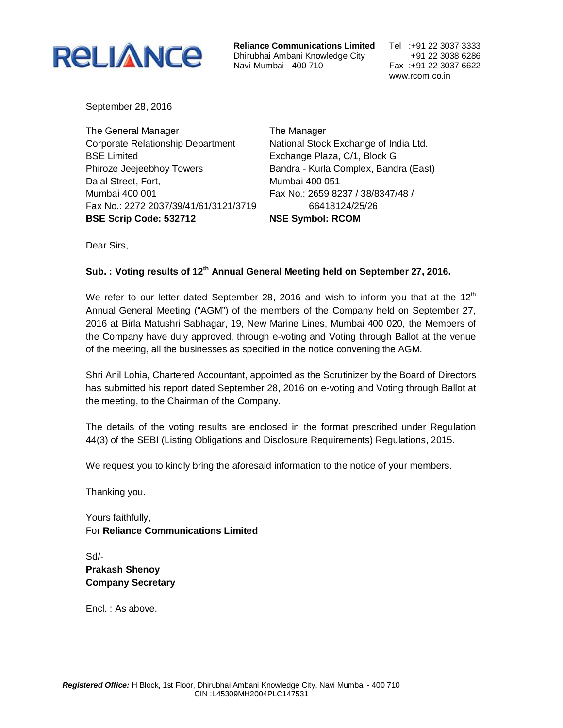

**Reliance Communications Limited | Tel :+91 22 3037 3333** Dhirubhai Ambani Knowledge City +91 22 3038 6286 Navi Mumbai - 400 710

www.rcom.co.in

September 28, 2016

The General Manager Corporate Relationship Department BSE Limited Phiroze Jeejeebhoy Towers Dalal Street, Fort, Mumbai 400 001 Fax No.: 2272 2037/39/41/61/3121/3719 **BSE Scrip Code: 532712**

The Manager National Stock Exchange of India Ltd. Exchange Plaza, C/1, Block G Bandra - Kurla Complex, Bandra (East) Mumbai 400 051 Fax No.: 2659 8237 / 38/8347/48 / 66418124/25/26 **NSE Symbol: RCOM**

Dear Sirs,

## **Sub. : Voting results of 12th Annual General Meeting held on September 27, 2016.**

We refer to our letter dated September 28, 2016 and wish to inform you that at the 12<sup>th</sup> Annual General Meeting ("AGM") of the members of the Company held on September 27, 2016 at Birla Matushri Sabhagar, 19, New Marine Lines, Mumbai 400 020, the Members of the Company have duly approved, through e-voting and Voting through Ballot at the venue of the meeting, all the businesses as specified in the notice convening the AGM.

Shri Anil Lohia, Chartered Accountant, appointed as the Scrutinizer by the Board of Directors has submitted his report dated September 28, 2016 on e-voting and Voting through Ballot at the meeting, to the Chairman of the Company.

The details of the voting results are enclosed in the format prescribed under Regulation 44(3) of the SEBI (Listing Obligations and Disclosure Requirements) Regulations, 2015.

We request you to kindly bring the aforesaid information to the notice of your members.

Thanking you.

Yours faithfully, For **Reliance Communications Limited**

Sd/- **Prakash Shenoy Company Secretary**

Encl. : As above.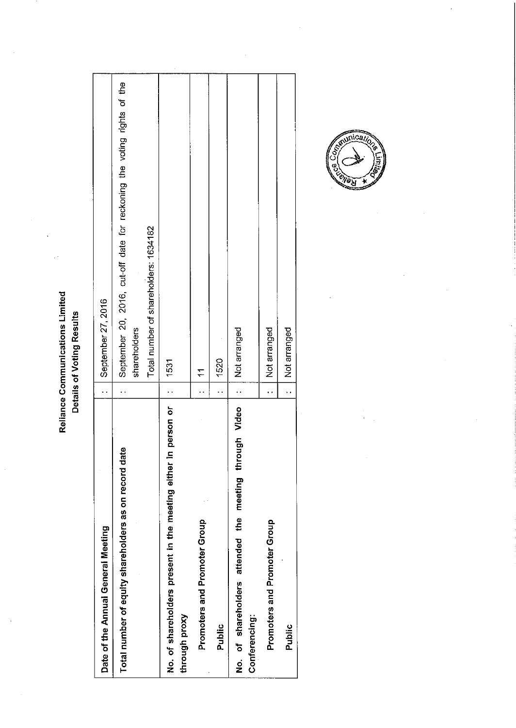$\cdot$ 

| Date of the Annual General Meeting                                                 | September 27, 2016                                                                      |
|------------------------------------------------------------------------------------|-----------------------------------------------------------------------------------------|
| Total number of equity shareholders as on record date                              | September 20, 2016, cut-off date for reckoning the voting rights of the<br>shareholders |
|                                                                                    | Total number of shareholders: 1634182                                                   |
| in person or<br>No. of shareholders present in the meeting either<br>through proxy | 1531                                                                                    |
| Promoters and Promoter Group                                                       |                                                                                         |
| Public                                                                             | 1520                                                                                    |
| No. of shareholders attended the meeting through Video<br>Conferencing:            | Not arranged                                                                            |
| Promoters and Promoter Group                                                       | Not arranged                                                                            |
| Public                                                                             | Not arranged                                                                            |
|                                                                                    |                                                                                         |

 $\bar{z}$ 



 $\bar{\beta}$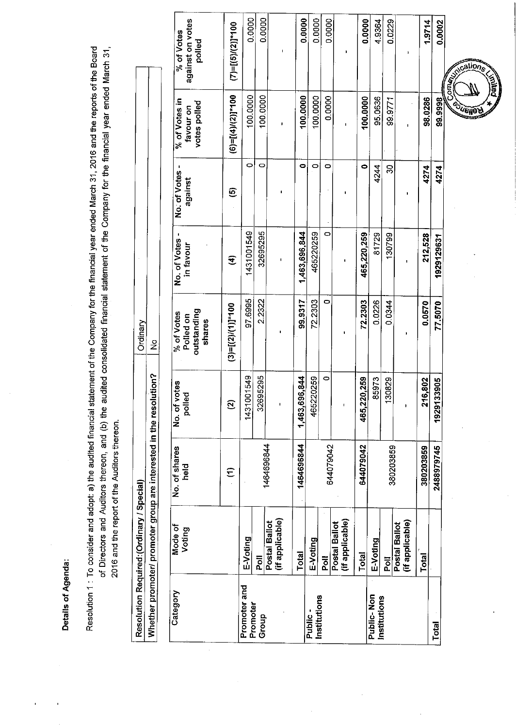Details of Agenda:

Resolution 1 : To consider and adopt: a) the audited financial statement of the Company for the financial year ended March 31, 2016 and the reports of the Board of Directors and Auditors thereon, and (b) the audited consolidated financial statement of the Company for the financial year ended March 31, 2016 and the report of the Auditors thereon.

|                          | Resolution Required: (Ordinary / Special) |                                                                    |                              | Ordinary                                         |                           |                         |                                            |                                          |
|--------------------------|-------------------------------------------|--------------------------------------------------------------------|------------------------------|--------------------------------------------------|---------------------------|-------------------------|--------------------------------------------|------------------------------------------|
|                          |                                           | Whether promoter/ promoter group are interested in the resolution? |                              | $\frac{1}{2}$                                    |                           |                         |                                            |                                          |
|                          |                                           |                                                                    |                              |                                                  |                           |                         |                                            |                                          |
| Category                 | Mode of<br>Voting                         | No. of shares<br>held                                              | votes<br>Σő<br>No.of<br>poll | outstanding<br>% of Votes<br>Polled on<br>shares | No. of Votes<br>in favour | No: of Votes<br>against | % of Votes in<br>votes polled<br>favour on | against on votes<br>% of Votes<br>polled |
|                          |                                           | Ξ                                                                  | g                            | $(3)=[(2)/(1)]^{*}100$                           | E                         | ତ୍ର                     | $(6)=[(4)/(2)]^{*}100$                     | $(7)$ =[(5)/(2)]*100                     |
| Promoter and<br>Promoter | E-Voting                                  |                                                                    | 001549<br>1431               | 97.6995                                          | 1431001549                | O                       | 100.0000                                   | 0.0000                                   |
| Group                    | Poll                                      | 1464696844                                                         | 32695295                     | 2.2322                                           | 32695295                  | O                       | 100.0000                                   | 0.0000                                   |
|                          | (if applicable)<br>Postal Ballot          |                                                                    |                              |                                                  | $\pmb{\mathsf{I}}$        | ï                       | ı                                          | ï                                        |
|                          | <b>Total</b>                              | 1464696844                                                         | 1,463,696,844                | 99.9317                                          | 1,463,696,844             | 0                       | 100.0000                                   | 0.0000                                   |
| Institutions<br>Public-  | E-Voting                                  |                                                                    | 465220259                    | 72.2303                                          | 465220259                 | $\circ$                 | 100.0000                                   | 0.0000                                   |
|                          | n<br>Poll                                 | 644079042                                                          | 0                            | $\circ$                                          | 0                         | $\circ$                 | 0.0000                                     | 0.0000                                   |
|                          | (if applicable)<br>Postal Ballot          |                                                                    | ł                            |                                                  | J,                        |                         |                                            |                                          |
|                          | <b>Total</b>                              | 644079042                                                          | 20,259<br>465.2              | 72.2303                                          | 465,220,259               | 0                       | 100.0000                                   | 0.0000                                   |
| Public-Non               | E-Voting                                  |                                                                    | 85973                        | 0.0226                                           | 81729                     | 4244                    | 95.0636                                    | 4.9364                                   |
| Institutions             | 흥                                         | 380203859                                                          | 30829                        | 0.0344                                           | 130799                    | ని                      | 99.9771                                    | 0.0229                                   |
|                          | (if applicable)<br>Postal Ballot          |                                                                    | ľ                            |                                                  | ŧ                         |                         | I                                          |                                          |
|                          | Total                                     | 380203859                                                          | 216,802                      | 0.0570                                           | 212,528                   | 4274                    | 98.0286                                    | 1.9714                                   |
| Total                    |                                           | 2488979745                                                         | [33905<br>19291              | 77.5070                                          | 1929129631                | 4274                    | 99.9998                                    | 0.0002                                   |

 $\overline{a}$ 

**VEIJO**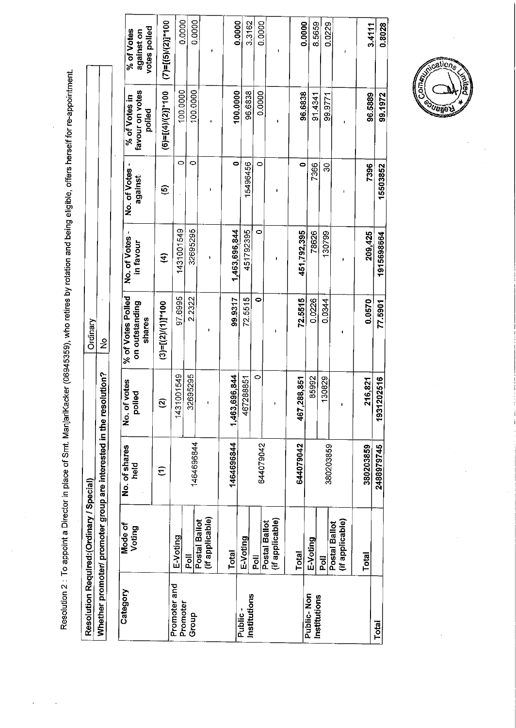Resolution 2 : To appoint a Director in place of Smt. ManjariKacker (06945359), who retires by rotation and being eligible, offers herself for re-appointment.

|                                           |                                                             | votes polled<br>% of Votes<br>against on                                                                       |
|-------------------------------------------|-------------------------------------------------------------|----------------------------------------------------------------------------------------------------------------|
|                                           |                                                             | favour on votes<br>polled                                                                                      |
|                                           |                                                             | against                                                                                                        |
|                                           |                                                             | in favour                                                                                                      |
| Ordinary                                  |                                                             | No. of votes   % of Votes Polled   No. of Votes -   No. of Votes -   % of Votes in<br>on outstanding<br>shares |
|                                           | olution? No                                                 | <u>ଟି</u><br>g                                                                                                 |
|                                           | Whether promoter/ promoter group are interested in the reso | No. of shares<br>held                                                                                          |
|                                           |                                                             | Mode of<br>Voting                                                                                              |
| Resolution Required: (Ordinary / Special) |                                                             | Category                                                                                                       |
|                                           |                                                             |                                                                                                                |

| Category                   | Mode of                          | No. of shares | <b>f</b> votes<br>No.of | % of Votes Polled        | No. of Votes  |                         |                                            |                                          |
|----------------------------|----------------------------------|---------------|-------------------------|--------------------------|---------------|-------------------------|--------------------------------------------|------------------------------------------|
|                            | Voting                           | held          | polled                  | on outstanding<br>shares | in favour     | No. of Votes<br>against | favour on votes<br>% of Votes in<br>polled | votes polled<br>% of Votes<br>against on |
|                            |                                  | Ξ             | ন                       | $(3)=[(2)/(1)]^{*}100$   | €             | ©                       | $(6)=[(4)/(2)]*100$                        | $(7)=[(5)/(2)]*100$                      |
| Promoter and<br>Promoter   | E-Voting                         |               | 1431001549              | 97.6995                  | 1431001549    | Ó                       | 100.0000                                   | 0.0000                                   |
| Group                      | $\overline{\overline{c}}$        | 1464696844    | 32695295                | 2.2322                   | 32695295      | O                       | 100.0000                                   | 0.0000                                   |
|                            | (if applicable)<br>Postal Ballot |               |                         |                          |               |                         |                                            |                                          |
|                            | Total                            | 1464696844    | 1,463,696,844           | 99.9317                  | 1,463,696,844 | 0                       | 100.0000                                   | 0.0000                                   |
| Institutions<br>Public.    | E-Voting                         |               | 467288851               | 72.5515                  | 451792395     | 15496456                | 96.6838                                    | 3.3162                                   |
|                            | $\overline{5}$                   | 644079042     | 0                       | 0                        | 0             | 0                       | 0.0000                                     | 0.0000                                   |
|                            | (if applicable)<br>Postal Ballot |               |                         |                          |               |                         |                                            |                                          |
|                            | Total                            | 644079042     | 288,851<br>467          | 72.5515                  | 451,792,395   | c                       | 96.6838                                    | 0.0000                                   |
| Public-Non<br>Institutions | E-Voting                         |               | 85992                   | 0.0226                   | 78626         | 7366                    | 91.4341                                    | 8.5659                                   |
|                            | $\overline{5}$                   | 380203859     | 130829                  | 0.0344                   | 130799        | g                       | 99.9771                                    | 0.0229                                   |
|                            | (if applicable)<br>Postal Ballot |               |                         |                          |               |                         |                                            |                                          |
|                            | Total                            | 380203859     | 216,821                 | 0.0570                   | 209,425       | 7396                    | 96.5889                                    | 3.4111                                   |
| Total                      |                                  | 2488979745    | 202516<br>1931          | 77.5901                  | 1915698664    | 15503852                | 99.1972                                    | 0.8028                                   |

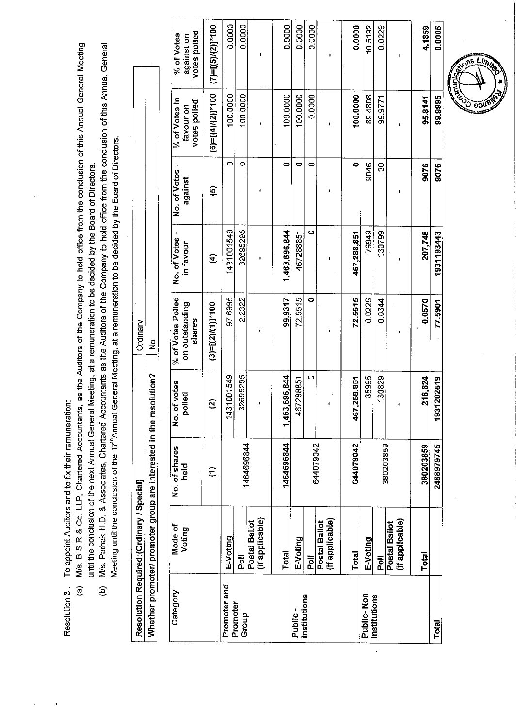Resolution 3 : To appoint Auditors and to fix their remuneration:

- M/s. B S R & Co. LLP, Chartered Accountants, as the Auditors of the Company to hold office from the conclusion of this Annual General Meeting until the conclusion of the next Annual General Meeting, at a remuneration to be decided by the Board of Directors.  $\widehat{a}$ 
	- M/s. Pathak H.D. & Associates, Chartered Accountants as the Auditors of the Company to hold office from the conclusion of this Annual General Meeting until the conclusion of the 17<sup>th</sup> Annual General Meeting, at a remuneration to be decided by the Board of Directors.  $\widehat{e}$

| Resolution Required:(Ordinary / Special)               |  |
|--------------------------------------------------------|--|
| Whether promoter/ promoter group are interested in the |  |
|                                                        |  |
|                                                        |  |

| Category                                      |                      | Promoter and | Promoter<br>Group |                                  |               | Public-   | Institutions |                                  |                 | Public-Non | Institutions |                                  |           | <b>Total</b> |
|-----------------------------------------------|----------------------|--------------|-------------------|----------------------------------|---------------|-----------|--------------|----------------------------------|-----------------|------------|--------------|----------------------------------|-----------|--------------|
| Mode of<br>Voting                             |                      | E-Voting     | Poll              | (if applicable)<br>Postal Ballot | Total         | E-Voting  | <b>MA</b>    | (if applicable)<br>Postal Ballot | Total           | E-Voting   | Poll         | (if applicable)<br>Postal Ballot | Total     |              |
| No. of shares<br>held                         | $\widehat{\Xi}$      |              |                   | 1464696844                       | 1464696844    |           | 644079042    |                                  | 644079042       |            |              | 380203859                        | 380203859 | 2488979745   |
| votes<br>polled<br>ō<br>2                     | ন                    | 1431001549   | 32695295          |                                  | 1,463,696,844 | 467288851 | $\circ$      |                                  | 288,851<br>467, | 85995      | 130829       |                                  | 216,824   | 1931202519   |
| % of Votes Polled<br>on outstanding<br>shares | $(3)=[(2)/(1)]*100$  | 97.6995      | 2.2322            |                                  | 99.9317       | 72.5515   | 0            |                                  | 72.5515         | 0.0226     | 0.0344       |                                  | 0.0570    | 77.5901      |
| No. of Votes -<br>in favour                   | E                    | 1431001549   | 32695295          |                                  | 1463,696,844  | 467288851 | 0            |                                  | 467,288,851     | 76949      | 130799       |                                  | 207,748   | 1931193443   |
| No. of Votes<br>against                       | $\widehat{\circ}$    | O            | 0                 |                                  | 0             | 0         | 0            |                                  | ۰               | 9046       | 8            |                                  | 9076      | 9076         |
| % of Votes in<br>votes polled<br>favour on    | $(6)=[(4)/(2)]$ *100 | 100.0000     | 100.0000          |                                  | 100.0000      | 100.0000  | 0.0000       |                                  | 100.0000        | 89.4808    | 99.9771      |                                  | 95.8141   | 99.9995      |
| votes polled<br>% of Votes<br>against on      | $(7)=[(5)/(2)]$ *100 | 0.0000       | 0.0000            |                                  | 0.0000        | 0.0000    | 0.0000       |                                  | 0.0000          | 10.5192    | 0.0229       |                                  | 4.1859    | 0.0005       |
|                                               |                      |              |                   |                                  |               |           |              |                                  |                 |            |              |                                  |           |              |

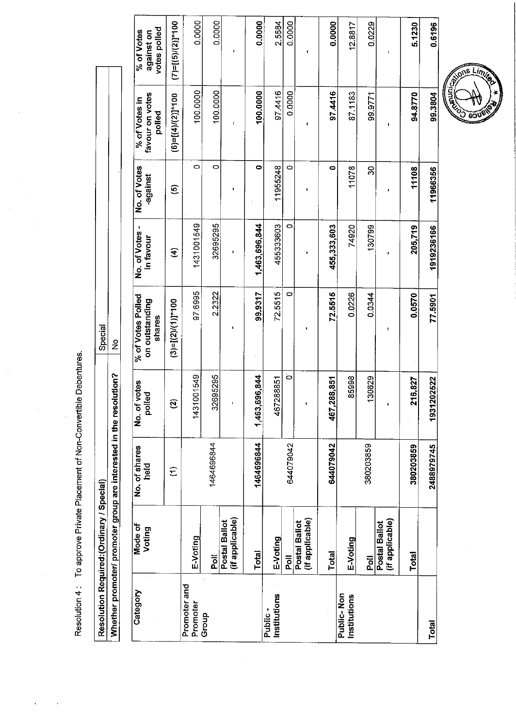Resolution 4 : To approve Private Placement of Non-Convertible Debentures.

Special  $\frac{1}{2}$ Whether promoter/ promoter group are interested in the resolution? Resolution Required: (Ordinary / Special)

 $\ddot{\phantom{a}}$ 

| Category                   | Mode of<br>Voting                | No. of shares<br>held | votes<br><b>Dol</b><br>ა<br>2<br>ᅙ | % of Votes Polled<br>on outstanding<br>shares | No. of Votes -<br>in favour | No. of Votes<br>-against | favour on votes<br>% of Votes in<br>polled | votes polled<br>% of Votes<br>against on |
|----------------------------|----------------------------------|-----------------------|------------------------------------|-----------------------------------------------|-----------------------------|--------------------------|--------------------------------------------|------------------------------------------|
|                            |                                  | $\widehat{\epsilon}$  | $\mathfrak{D}$                     | $(3)=[(2)/(1)]^{*}100$                        | E                           | $\widehat{\mathbf{e}}$   | $(6)=[(4)/(2)]$ *100                       | $(7)$ =[(5)/(2)]*100                     |
| Promoter and<br>Promoter   | E-Voting                         |                       | 001549<br>1431                     | 97.6995                                       | 1431001549                  | O                        | 100.0000                                   | 0.0000                                   |
| Group                      | $\overline{\overline{6}}$        | 1464696844            | 32695295                           | 2.2322                                        | 32695295                    | $\circ$                  | 100.0000                                   | 0.0000                                   |
|                            | (if applicable)<br>Postal Ballot |                       |                                    |                                               | ŧ                           | ı                        | I.                                         | ı                                        |
|                            | Total                            | 1464696844            | 1,463,696,844                      | 99.9317                                       | 1,463,696,844               | 0                        | 100.0000                                   | 0.0000                                   |
| Institutions<br>Public-    | E-Voting                         |                       | 467288851                          | 72.5515                                       | 455333603                   | 11955248                 | 97.4416                                    | 2.5584                                   |
|                            | <b>Poll</b>                      | 644079042             | $\ddot{\circ}$                     | 0                                             | o                           | 0                        | 0.0000                                     | 0.0000                                   |
|                            | (if applicable)<br>Postal Ballot |                       |                                    |                                               |                             |                          | ٠                                          |                                          |
|                            | Total                            | 644079042             | 288,851<br>467.                    | 72.5515                                       | 455,333,603                 | 0                        | 97.4416                                    | 0.0000                                   |
| Public-Non<br>Institutions | E-Voting                         |                       | 85998                              | 0.0226                                        | 74920                       | 11078                    | 87.1183                                    | 12.8817                                  |
|                            | $\overline{\overline{6}}$        | 380203859             | 130829                             | 0.0344                                        | 130799                      | 30                       | 99.9771                                    | 0.0229                                   |
|                            | (if applicable)<br>Postal Ballot |                       |                                    | 1                                             | ï                           | ï                        | ı                                          | ı                                        |
|                            | Total                            | 380203859             | 216,827                            | 0.0570                                        | 205,719                     | 11108                    | 94.8770                                    | 5.1230                                   |
| Total                      |                                  | 2488979745            | 1931202522                         | 77.5901                                       | 1919236166                  | 11966356                 | 99.3804                                    | 0.6196                                   |

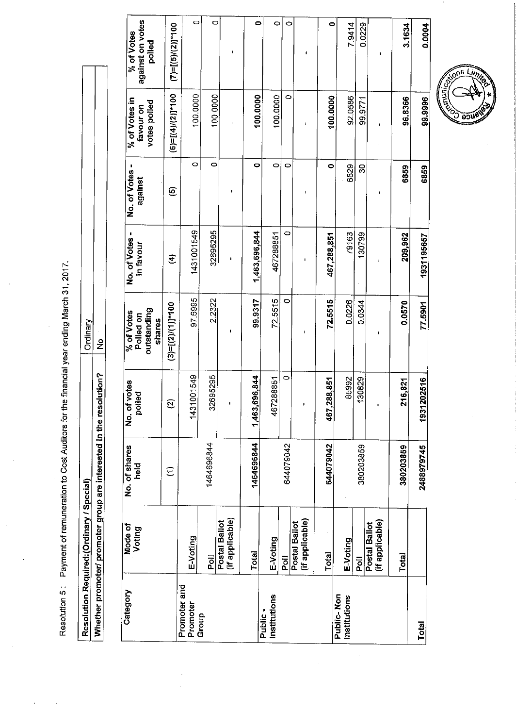Resolution 5: Payment of remuneration to Cost Auditors for the financial year ending March 31, 2017.

Ordinary<br>No Whether promoter/ promoter group are interested in the resolution? Resolution Required: (Ordinary / Special)

| Category                   | Mode of<br>Voting                | No. of shares<br>neid<br>C | votes<br>polled<br>No.of | outstanding<br>% of Votes<br>Polled on<br>shares | No. of Votes -<br>in favour | No. of Votes<br>against | % of Votes in<br>votes polled<br>favour on | against on votes<br>% of Votes<br>polled |
|----------------------------|----------------------------------|----------------------------|--------------------------|--------------------------------------------------|-----------------------------|-------------------------|--------------------------------------------|------------------------------------------|
|                            |                                  | $\widehat{\epsilon}$       | Ø                        | $(3)=[(2)/(1)]*100$                              | E                           | O                       | $(6)=[(4)/(2)]$ *100                       | $(7)=[(5)/(2)]$ *100                     |
| Promoter and<br>Promoter   | E-Voting                         |                            | 1431001549               | 97.6995                                          | 1431001549                  | O                       | 100.0000                                   | $\circ$                                  |
| Group                      | $\overline{5}$                   | 1464696844                 | 395295<br>326            | 2.2322                                           | 32695295                    | o                       | 100.0000                                   | O                                        |
|                            | (if applicable)<br>Postal Ballot |                            | $\blacksquare$           | ı                                                | ı                           | J.                      | $\mathbf I$                                |                                          |
|                            | <b>Total</b>                     | 1464696844                 | 1,463,696,844            | 99.9317                                          | 1,463,696,844               | 0                       | 100.0000                                   | 0                                        |
| Institutions<br>Public-    | E-Voting                         |                            | 467288851                | 72.5515                                          | 467288851                   | 0                       | 100.0000                                   | 0                                        |
|                            | Poll                             | 644079042                  | 0                        | 0                                                | 0                           | $\circ$                 | $\circ$                                    | O                                        |
|                            | (if applicable)<br>Postal Ballot |                            |                          | ı                                                |                             | f                       | $\overline{\mathbf{I}}$                    | t                                        |
|                            | <b>Total</b>                     | 644079042                  | 38,851<br>467,28         | 72.5515                                          | 467,288,851                 | 0                       | 100.0000                                   | $\bullet$                                |
| Public-Non<br>Institutions | E-Voting                         |                            | 85992                    | 0.0226                                           | 79163                       | 6829                    | 92.0586                                    | 7.9414                                   |
|                            | <b>Poll</b>                      | 380203859                  | 30829<br>٣               | 0.0344                                           | 130799                      | 3                       | 99.9771                                    | 0.0229                                   |
|                            | (if applicable)<br>Postal Ballot |                            | $\mathbf{I}$             |                                                  | 1                           | 1                       | t                                          | п                                        |
|                            | Total                            | 380203859                  | 6,821<br>۶,              | 0.0570                                           | 209,962                     | 6859                    | 96.8366                                    | 3.1634                                   |
| <b>Total</b>               |                                  | 2488979745                 | 1931202516               | 77.5901                                          | 1931195657                  | 6859                    | 99.9996                                    | 0.0004                                   |